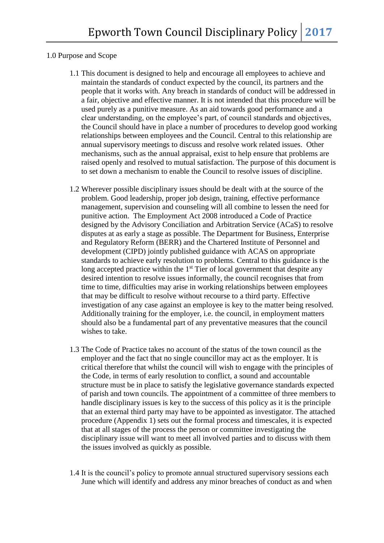## 1.0 Purpose and Scope

- 1.1 This document is designed to help and encourage all employees to achieve and maintain the standards of conduct expected by the council, its partners and the people that it works with. Any breach in standards of conduct will be addressed in a fair, objective and effective manner. It is not intended that this procedure will be used purely as a punitive measure. As an aid towards good performance and a clear understanding, on the employee's part, of council standards and objectives, the Council should have in place a number of procedures to develop good working relationships between employees and the Council. Central to this relationship are annual supervisory meetings to discuss and resolve work related issues. Other mechanisms, such as the annual appraisal, exist to help ensure that problems are raised openly and resolved to mutual satisfaction. The purpose of this document is to set down a mechanism to enable the Council to resolve issues of discipline.
- 1.2 Wherever possible disciplinary issues should be dealt with at the source of the problem. Good leadership, proper job design, training, effective performance management, supervision and counseling will all combine to lessen the need for punitive action. The Employment Act 2008 introduced a Code of Practice designed by the Advisory Conciliation and Arbitration Service (ACaS) to resolve disputes at as early a stage as possible. The Department for Business, Enterprise and Regulatory Reform (BERR) and the Chartered Institute of Personnel and development (CIPD) jointly published guidance with ACAS on appropriate standards to achieve early resolution to problems. Central to this guidance is the long accepted practice within the  $1<sup>st</sup>$  Tier of local government that despite any desired intention to resolve issues informally, the council recognises that from time to time, difficulties may arise in working relationships between employees that may be difficult to resolve without recourse to a third party. Effective investigation of any case against an employee is key to the matter being resolved. Additionally training for the employer, i.e. the council, in employment matters should also be a fundamental part of any preventative measures that the council wishes to take.
- 1.3 The Code of Practice takes no account of the status of the town council as the employer and the fact that no single councillor may act as the employer. It is critical therefore that whilst the council will wish to engage with the principles of the Code, in terms of early resolution to conflict, a sound and accountable structure must be in place to satisfy the legislative governance standards expected of parish and town councils. The appointment of a committee of three members to handle disciplinary issues is key to the success of this policy as it is the principle that an external third party may have to be appointed as investigator. The attached procedure (Appendix 1) sets out the formal process and timescales, it is expected that at all stages of the process the person or committee investigating the disciplinary issue will want to meet all involved parties and to discuss with them the issues involved as quickly as possible.
- 1.4 It is the council's policy to promote annual structured supervisory sessions each June which will identify and address any minor breaches of conduct as and when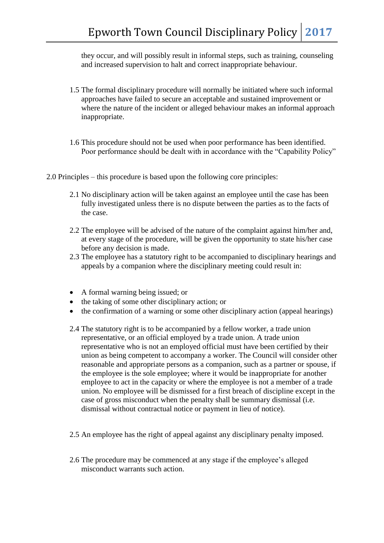they occur, and will possibly result in informal steps, such as training, counseling and increased supervision to halt and correct inappropriate behaviour.

- 1.5 The formal disciplinary procedure will normally be initiated where such informal approaches have failed to secure an acceptable and sustained improvement or where the nature of the incident or alleged behaviour makes an informal approach inappropriate.
- 1.6 This procedure should not be used when poor performance has been identified. Poor performance should be dealt with in accordance with the "Capability Policy"
- 2.0 Principles this procedure is based upon the following core principles:
	- 2.1 No disciplinary action will be taken against an employee until the case has been fully investigated unless there is no dispute between the parties as to the facts of the case.
	- 2.2 The employee will be advised of the nature of the complaint against him/her and, at every stage of the procedure, will be given the opportunity to state his/her case before any decision is made.
	- 2.3 The employee has a statutory right to be accompanied to disciplinary hearings and appeals by a companion where the disciplinary meeting could result in:
	- A formal warning being issued; or
	- the taking of some other disciplinary action; or
	- the confirmation of a warning or some other disciplinary action (appeal hearings)
	- 2.4 The statutory right is to be accompanied by a fellow worker, a trade union representative, or an official employed by a trade union. A trade union representative who is not an employed official must have been certified by their union as being competent to accompany a worker. The Council will consider other reasonable and appropriate persons as a companion, such as a partner or spouse, if the employee is the sole employee; where it would be inappropriate for another employee to act in the capacity or where the employee is not a member of a trade union. No employee will be dismissed for a first breach of discipline except in the case of gross misconduct when the penalty shall be summary dismissal (i.e. dismissal without contractual notice or payment in lieu of notice).
	- 2.5 An employee has the right of appeal against any disciplinary penalty imposed.
	- 2.6 The procedure may be commenced at any stage if the employee's alleged misconduct warrants such action.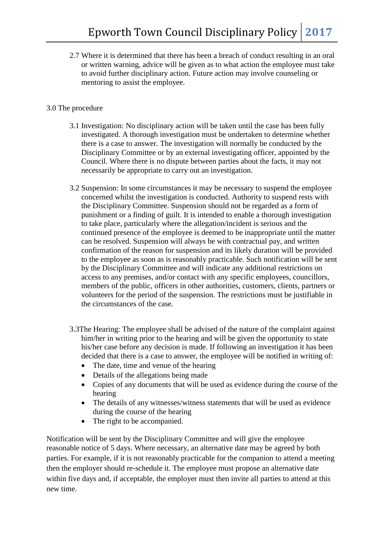2.7 Where it is determined that there has been a breach of conduct resulting in an oral or written warning, advice will be given as to what action the employee must take to avoid further disciplinary action. Future action may involve counseling or mentoring to assist the employee.

## 3.0 The procedure

- 3.1 Investigation: No disciplinary action will be taken until the case has been fully investigated. A thorough investigation must be undertaken to determine whether there is a case to answer. The investigation will normally be conducted by the Disciplinary Committee or by an external investigating officer, appointed by the Council. Where there is no dispute between parties about the facts, it may not necessarily be appropriate to carry out an investigation.
- 3.2 Suspension: In some circumstances it may be necessary to suspend the employee concerned whilst the investigation is conducted. Authority to suspend rests with the Disciplinary Committee. Suspension should not be regarded as a form of punishment or a finding of guilt. It is intended to enable a thorough investigation to take place, particularly where the allegation/incident is serious and the continued presence of the employee is deemed to be inappropriate until the matter can be resolved. Suspension will always be with contractual pay, and written confirmation of the reason for suspension and its likely duration will be provided to the employee as soon as is reasonably practicable. Such notification will be sent by the Disciplinary Committee and will indicate any additional restrictions on access to any premises, and/or contact with any specific employees, councillors, members of the public, officers in other authorities, customers, clients, partners or volunteers for the period of the suspension. The restrictions must be justifiable in the circumstances of the case.
- 3.3The Hearing: The employee shall be advised of the nature of the complaint against him/her in writing prior to the hearing and will be given the opportunity to state his/her case before any decision is made. If following an investigation it has been decided that there is a case to answer, the employee will be notified in writing of:
	- The date, time and venue of the hearing
	- Details of the allegations being made
	- Copies of any documents that will be used as evidence during the course of the hearing
	- The details of any witnesses/witness statements that will be used as evidence during the course of the hearing
	- The right to be accompanied.

Notification will be sent by the Disciplinary Committee and will give the employee reasonable notice of 5 days. Where necessary, an alternative date may be agreed by both parties. For example, if it is not reasonably practicable for the companion to attend a meeting then the employer should re-schedule it. The employee must propose an alternative date within five days and, if acceptable, the employer must then invite all parties to attend at this new time.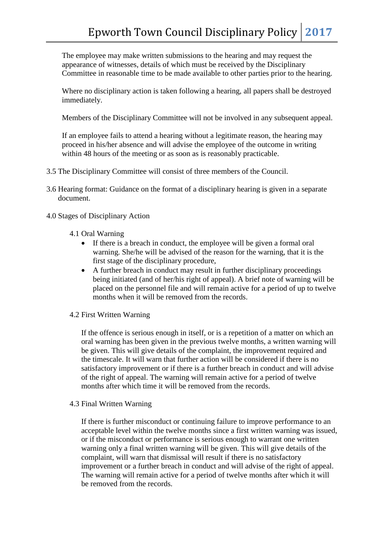The employee may make written submissions to the hearing and may request the appearance of witnesses, details of which must be received by the Disciplinary Committee in reasonable time to be made available to other parties prior to the hearing.

 Where no disciplinary action is taken following a hearing, all papers shall be destroyed immediately.

Members of the Disciplinary Committee will not be involved in any subsequent appeal.

 If an employee fails to attend a hearing without a legitimate reason, the hearing may proceed in his/her absence and will advise the employee of the outcome in writing within 48 hours of the meeting or as soon as is reasonably practicable.

- 3.5 The Disciplinary Committee will consist of three members of the Council.
- 3.6 Hearing format: Guidance on the format of a disciplinary hearing is given in a separate document.
- 4.0 Stages of Disciplinary Action
	- 4.1 Oral Warning
		- If there is a breach in conduct, the employee will be given a formal oral warning. She/he will be advised of the reason for the warning, that it is the first stage of the disciplinary procedure,
		- A further breach in conduct may result in further disciplinary proceedings being initiated (and of her/his right of appeal). A brief note of warning will be placed on the personnel file and will remain active for a period of up to twelve months when it will be removed from the records.
	- 4.2 First Written Warning

If the offence is serious enough in itself, or is a repetition of a matter on which an oral warning has been given in the previous twelve months, a written warning will be given. This will give details of the complaint, the improvement required and the timescale. It will warn that further action will be considered if there is no satisfactory improvement or if there is a further breach in conduct and will advise of the right of appeal. The warning will remain active for a period of twelve months after which time it will be removed from the records.

4.3 Final Written Warning

If there is further misconduct or continuing failure to improve performance to an acceptable level within the twelve months since a first written warning was issued, or if the misconduct or performance is serious enough to warrant one written warning only a final written warning will be given. This will give details of the complaint, will warn that dismissal will result if there is no satisfactory improvement or a further breach in conduct and will advise of the right of appeal. The warning will remain active for a period of twelve months after which it will be removed from the records.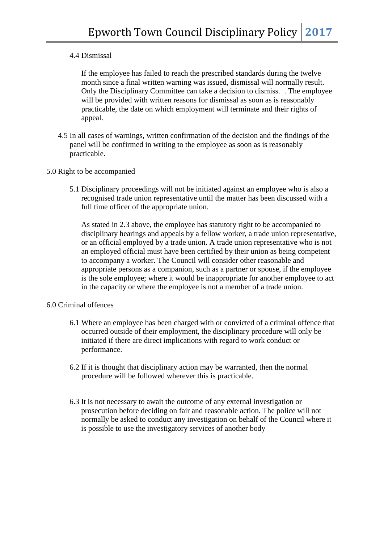## 4.4 Dismissal

If the employee has failed to reach the prescribed standards during the twelve month since a final written warning was issued, dismissal will normally result. Only the Disciplinary Committee can take a decision to dismiss. . The employee will be provided with written reasons for dismissal as soon as is reasonably practicable, the date on which employment will terminate and their rights of appeal.

4.5 In all cases of warnings, written confirmation of the decision and the findings of the panel will be confirmed in writing to the employee as soon as is reasonably practicable.

#### 5.0 Right to be accompanied

5.1 Disciplinary proceedings will not be initiated against an employee who is also a recognised trade union representative until the matter has been discussed with a full time officer of the appropriate union.

As stated in 2.3 above, the employee has statutory right to be accompanied to disciplinary hearings and appeals by a fellow worker, a trade union representative, or an official employed by a trade union. A trade union representative who is not an employed official must have been certified by their union as being competent to accompany a worker. The Council will consider other reasonable and appropriate persons as a companion, such as a partner or spouse, if the employee is the sole employee; where it would be inappropriate for another employee to act in the capacity or where the employee is not a member of a trade union.

#### 6.0 Criminal offences

- 6.1 Where an employee has been charged with or convicted of a criminal offence that occurred outside of their employment, the disciplinary procedure will only be initiated if there are direct implications with regard to work conduct or performance.
- 6.2 If it is thought that disciplinary action may be warranted, then the normal procedure will be followed wherever this is practicable.
- 6.3 It is not necessary to await the outcome of any external investigation or prosecution before deciding on fair and reasonable action. The police will not normally be asked to conduct any investigation on behalf of the Council where it is possible to use the investigatory services of another body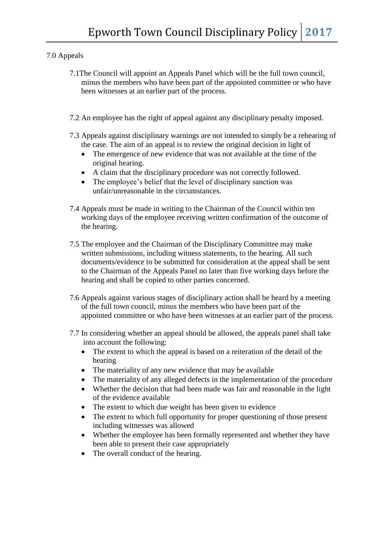# 7.0 Appeals

- 7.1The Council will appoint an Appeals Panel which will be the full town council, minus the members who have been part of the appointed committee or who have been witnesses at an earlier part of the process.
- 7.2 An employee has the right of appeal against any disciplinary penalty imposed.
- 7.3 Appeals against disciplinary warnings are not intended to simply be a rehearing of the case. The aim of an appeal is to review the original decision in light of
	- The emergence of new evidence that was not available at the time of the original hearing.
	- A claim that the disciplinary procedure was not correctly followed.
	- The employee's belief that the level of disciplinary sanction was unfair/unreasonable in the circumstances.
- 7.4 Appeals must be made in writing to the Chairman of the Council within ten working days of the employee receiving written confirmation of the outcome of the hearing.
- 7.5 The employee and the Chairman of the Disciplinary Committee may make written submissions, including witness statements, to the hearing. All such documents/evidence to be submitted for consideration at the appeal shall be sent to the Chairman of the Appeals Panel no later than five working days before the hearing and shall be copied to other parties concerned.
- 7.6 Appeals against various stages of disciplinary action shall be heard by a meeting of the full town council, minus the members who have been part of the appointed committee or who have been witnesses at an earlier part of the process.
- 7.7 In considering whether an appeal should be allowed, the appeals panel shall take into account the following:
	- The extent to which the appeal is based on a reiteration of the detail of the hearing
	- The materiality of any new evidence that may be available
	- The materiality of any alleged defects in the implementation of the procedure
	- Whether the decision that had been made was fair and reasonable in the light of the evidence available
	- The extent to which due weight has been given to evidence
	- The extent to which full opportunity for proper questioning of those present including witnesses was allowed
	- Whether the employee has been formally represented and whether they have been able to present their case appropriately
	- The overall conduct of the hearing.